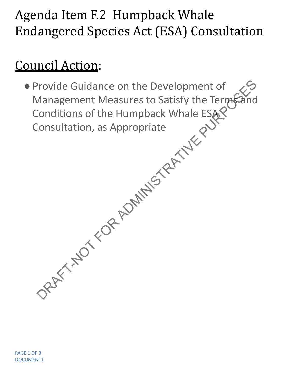## Agenda Item F.2 Humpback Whale Endangered Species Act (ESA) Consultation

## Council Action:

●Provide Guidance on the Development of Management Measures to Satisfy the Terms and Conditions of the Humpback Whale ESA Consultation, as Appropriate Provide Guidance on the Development of<br>
Management Measures to Satisfy the Terms and<br>
Consultation, as Appropriate<br>
Consultation, as Appropriate<br>
Consultation, as Appropriate<br>
Consultation, as Appropriate<br>
Consultation as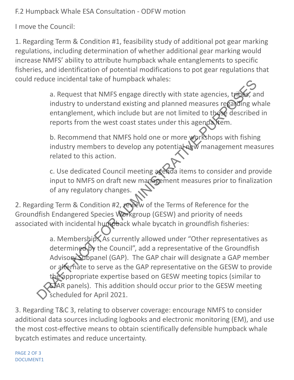F.2 Humpback Whale ESA Consultation - ODFW motion

I move the Council:

1. Regarding Term & Condition #1, feasibility study of additional pot gear marking regulations, including determination of whether additional gear marking would increase NMFS' ability to attribute humpback whale entanglements to specific fisheries, and identification of potential modifications to pot gear regulations that could reduce incidental take of humpback whales:

> a. Request that NMFS engage directly with state agencies, tribes, and industry to understand existing and planned measures regarding whale entanglement, which include but are not limited to those described in reports from the west coast states under this agenda tem.

b. Recommend that NMFS hold one or more workshops with fishing industry members to develop any potential new management measures related to this action.

c. Use dedicated Council meeting agenda items to consider and provide input to NMFS on draft new management measures prior to finalization of any regulatory changes.

2. Regarding Term & Condition #2, review of the Terms of Reference for the Groundfish Endangered Species Workgroup (GESW) and priority of needs associated with incidental humpback whale bycatch in groundfish fisheries:

a. Membership: As currently allowed under "Other representatives as determined by the Council", add a representative of the Groundfish Advisory Subpanel (GAP). The GAP chair will designate a GAP member or alternate to serve as the GAP representative on the GESW to provide the appropriate expertise based on GESW meeting topics (similar to STAR panels). This addition should occur prior to the GESW meeting scheduled for April 2021. a. Request that NMFS engage directly with state agencies, typics, an industry to understand existing and planed measures regaliting we entanglement, which include but are not limited to the described reports from the west

3. Regarding T&C 3, relating to observer coverage: encourage NMFS to consider additional data sources including logbooks and electronic monitoring (EM), and use the most cost-effective means to obtain scientifically defensible humpback whale bycatch estimates and reduce uncertainty.

PAGE 2 OF 3 DOCUMENT1